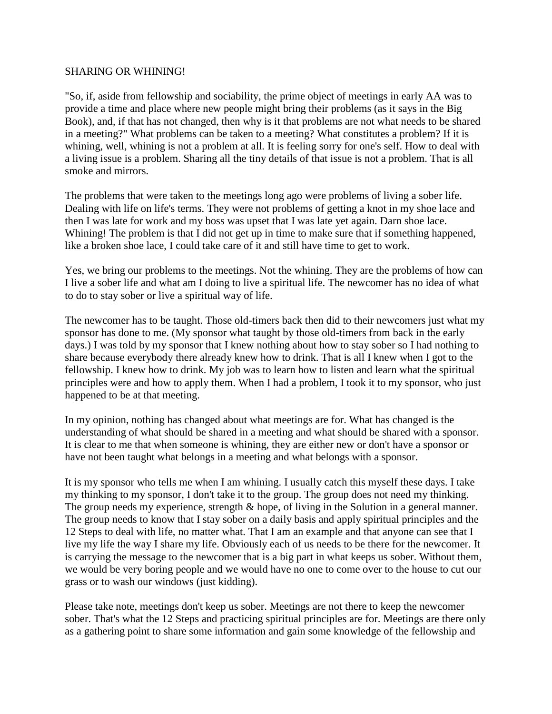## SHARING OR WHINING!

"So, if, aside from fellowship and sociability, the prime object of meetings in early AA was to provide a time and place where new people might bring their problems (as it says in the Big Book), and, if that has not changed, then why is it that problems are not what needs to be shared in a meeting?" What problems can be taken to a meeting? What constitutes a problem? If it is whining, well, whining is not a problem at all. It is feeling sorry for one's self. How to deal with a living issue is a problem. Sharing all the tiny details of that issue is not a problem. That is all smoke and mirrors.

The problems that were taken to the meetings long ago were problems of living a sober life. Dealing with life on life's terms. They were not problems of getting a knot in my shoe lace and then I was late for work and my boss was upset that I was late yet again. Darn shoe lace. Whining! The problem is that I did not get up in time to make sure that if something happened, like a broken shoe lace, I could take care of it and still have time to get to work.

Yes, we bring our problems to the meetings. Not the whining. They are the problems of how can I live a sober life and what am I doing to live a spiritual life. The newcomer has no idea of what to do to stay sober or live a spiritual way of life.

The newcomer has to be taught. Those old-timers back then did to their newcomers just what my sponsor has done to me. (My sponsor what taught by those old-timers from back in the early days.) I was told by my sponsor that I knew nothing about how to stay sober so I had nothing to share because everybody there already knew how to drink. That is all I knew when I got to the fellowship. I knew how to drink. My job was to learn how to listen and learn what the spiritual principles were and how to apply them. When I had a problem, I took it to my sponsor, who just happened to be at that meeting.

In my opinion, nothing has changed about what meetings are for. What has changed is the understanding of what should be shared in a meeting and what should be shared with a sponsor. It is clear to me that when someone is whining, they are either new or don't have a sponsor or have not been taught what belongs in a meeting and what belongs with a sponsor.

It is my sponsor who tells me when I am whining. I usually catch this myself these days. I take my thinking to my sponsor, I don't take it to the group. The group does not need my thinking. The group needs my experience, strength & hope, of living in the Solution in a general manner. The group needs to know that I stay sober on a daily basis and apply spiritual principles and the 12 Steps to deal with life, no matter what. That I am an example and that anyone can see that I live my life the way I share my life. Obviously each of us needs to be there for the newcomer. It is carrying the message to the newcomer that is a big part in what keeps us sober. Without them, we would be very boring people and we would have no one to come over to the house to cut our grass or to wash our windows (just kidding).

Please take note, meetings don't keep us sober. Meetings are not there to keep the newcomer sober. That's what the 12 Steps and practicing spiritual principles are for. Meetings are there only as a gathering point to share some information and gain some knowledge of the fellowship and